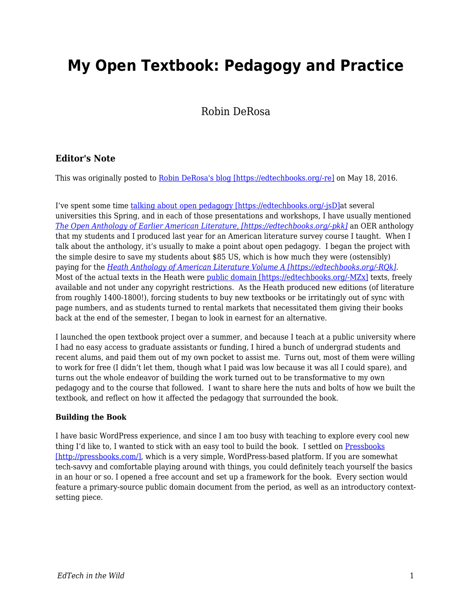# **My Open Textbook: Pedagogy and Practice**

# Robin DeRosa

## **Editor's Note**

This was originally posted to [Robin DeRosa's blog \[https://edtechbooks.org/-re\]](https://robinderosa.net/uncategorized/my-open-textbook-pedagogy-and-practice/) on May 18, 2016.

I've spent some time [talking about open pedagogy \[https://edtechbooks.org/-jsD\]](http://www.slideshare.net/orbitdog1/pedagogy-in-public-open-education-unbound)at several universities this Spring, and in each of those presentations and workshops, I have usually mentioned *[The Open Anthology of Earlier American Literature, \[https://edtechbooks.org/-pkk\]](http://openamlit.pressbooks.com/)* an OER anthology that my students and I produced last year for an American literature survey course I taught. When I talk about the anthology, it's usually to make a point about open pedagogy. I began the project with the simple desire to save my students about \$85 US, which is how much they were (ostensibly) paying for the *[Heath Anthology of American Literature Volume A \[https://edtechbooks.org/-RQk\]](http://www.amazon.com/Heath-Anthology-American-Literature/dp/1133310222).*  Most of the actual texts in the Heath were [public domain \[https://edtechbooks.org/-MZx\]](http://fairuse.stanford.edu/overview/public-domain/welcome/) texts, freely available and not under any copyright restrictions. As the Heath produced new editions (of literature from roughly 1400-1800!), forcing students to buy new textbooks or be irritatingly out of sync with page numbers, and as students turned to rental markets that necessitated them giving their books back at the end of the semester, I began to look in earnest for an alternative.

I launched the open textbook project over a summer, and because I teach at a public university where I had no easy access to graduate assistants or funding, I hired a bunch of undergrad students and recent alums, and paid them out of my own pocket to assist me. Turns out, most of them were willing to work for free (I didn't let them, though what I paid was low because it was all I could spare), and turns out the whole endeavor of building the work turned out to be transformative to my own pedagogy and to the course that followed. I want to share here the nuts and bolts of how we built the textbook, and reflect on how it affected the pedagogy that surrounded the book.

### **Building the Book**

I have basic WordPress experience, and since I am too busy with teaching to explore every cool new thing I'd like to, I wanted to stick with an easy tool to build the book. I settled on [Pressbooks](http://pressbooks.com/) [\[http://pressbooks.com/\]](http://pressbooks.com/), which is a very simple, WordPress-based platform. If you are somewhat tech-savvy and comfortable playing around with things, you could definitely teach yourself the basics in an hour or so. I opened a free account and set up a framework for the book. Every section would feature a primary-source public domain document from the period, as well as an introductory contextsetting piece.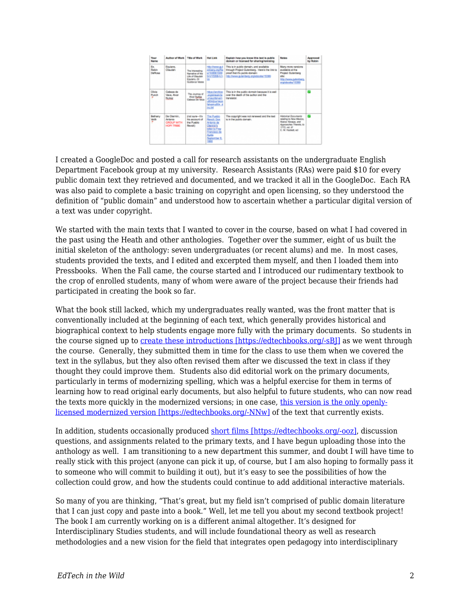

I created a GoogleDoc and posted a call for research assistants on the undergraduate English Department Facebook group at my university. Research Assistants (RAs) were paid \$10 for every public domain text they retrieved and documented, and we tracked it all in the GoogleDoc. Each RA was also paid to complete a basic training on copyright and open licensing, so they understood the definition of "public domain" and understood how to ascertain whether a particular digital version of a text was under copyright.

We started with the main texts that I wanted to cover in the course, based on what I had covered in the past using the Heath and other anthologies. Together over the summer, eight of us built the initial skeleton of the anthology: seven undergraduates (or recent alums) and me. In most cases, students provided the texts, and I edited and excerpted them myself, and then I loaded them into Pressbooks. When the Fall came, the course started and I introduced our rudimentary textbook to the crop of enrolled students, many of whom were aware of the project because their friends had participated in creating the book so far.

What the book still lacked, which my undergraduates really wanted, was the front matter that is conventionally included at the beginning of each text, which generally provides historical and biographical context to help students engage more fully with the primary documents. So students in the course signed up to [create these introductions \[https://edtechbooks.org/-sBJ\]](http://openamlit.pressbooks.com/chapter/introduction/) as we went through the course. Generally, they submitted them in time for the class to use them when we covered the text in the syllabus, but they also often revised them after we discussed the text in class if they thought they could improve them. Students also did editorial work on the primary documents, particularly in terms of modernizing spelling, which was a helpful exercise for them in terms of learning how to read original early documents, but also helpful to future students, who can now read the texts more quickly in the modernized versions; in one case, [this version is the only openly](http://openamlit.pressbooks.com/chapter/new-english-canaan-excerpt/)[licensed modernized version \[https://edtechbooks.org/-NNw\]](http://openamlit.pressbooks.com/chapter/new-english-canaan-excerpt/) of the text that currently exists.

In addition, students occasionally produced [short films \[https://edtechbooks.org/-ooz\],](http://openamlit.pressbooks.com/chapter/introduction-6/) discussion questions, and assignments related to the primary texts, and I have begun uploading those into the anthology as well. I am transitioning to a new department this summer, and doubt I will have time to really stick with this project (anyone can pick it up, of course, but I am also hoping to formally pass it to someone who will commit to building it out), but it's easy to see the possibilities of how the collection could grow, and how the students could continue to add additional interactive materials.

So many of you are thinking, "That's great, but my field isn't comprised of public domain literature that I can just copy and paste into a book." Well, let me tell you about my second textbook project! The book I am currently working on is a different animal altogether. It's designed for Interdisciplinary Studies students, and will include foundational theory as well as research methodologies and a new vision for the field that integrates open pedagogy into interdisciplinary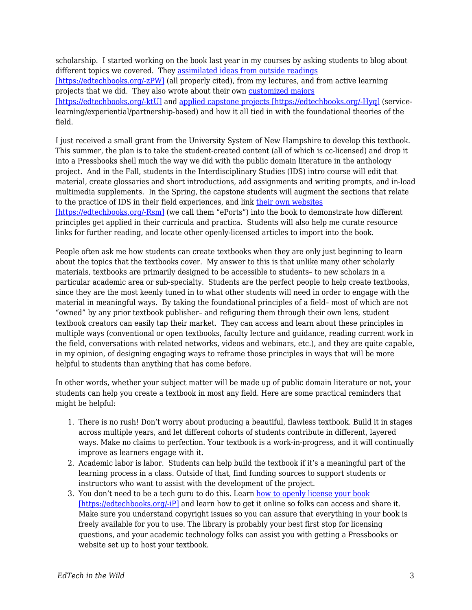scholarship. I started working on the book last year in my courses by asking students to blog about different topics we covered. They [assimilated ideas from outside readings](https://katerburgess.wordpress.com/2016/04/11/a-larger-whole-complex-systems-in-ids/) [\[https://edtechbooks.org/-zPW\]](https://katerburgess.wordpress.com/2016/04/11/a-larger-whole-complex-systems-in-ids/) (all properly cited), from my lectures, and from active learning projects that we did. They also wrote about their own [customized majors](http://meglosuda.com/uncategorized/interdisciplinary-statement-of-purpose-essay/) [\[https://edtechbooks.org/-ktU\]](http://meglosuda.com/uncategorized/interdisciplinary-statement-of-purpose-essay/) and [applied capstone projects \[https://edtechbooks.org/-Hyq\]](https://officialmarinaphillips.wordpress.com/2016/05/03/project-paper-treating-anxiety-with-dance-and-movement/) (servicelearning/experiential/partnership-based) and how it all tied in with the foundational theories of the field.

I just received a small grant from the University System of New Hampshire to develop this textbook. This summer, the plan is to take the student-created content (all of which is cc-licensed) and drop it into a Pressbooks shell much the way we did with the public domain literature in the anthology project. And in the Fall, students in the Interdisciplinary Studies (IDS) intro course will edit that material, create glossaries and short introductions, add assignments and writing prompts, and in-load multimedia supplements. In the Spring, the capstone students will augment the sections that relate to the practice of IDS in their field experiences, and link [their own websites](https://christinemcelreavy.wordpress.com/about/) [\[https://edtechbooks.org/-Rsm\]](https://christinemcelreavy.wordpress.com/about/) (we call them "ePorts") into the book to demonstrate how different principles get applied in their curricula and practica. Students will also help me curate resource links for further reading, and locate other openly-licensed articles to import into the book.

People often ask me how students can create textbooks when they are only just beginning to learn about the topics that the textbooks cover. My answer to this is that unlike many other scholarly materials, textbooks are primarily designed to be accessible to students– to new scholars in a particular academic area or sub-specialty. Students are the perfect people to help create textbooks, since they are the most keenly tuned in to what other students will need in order to engage with the material in meaningful ways. By taking the foundational principles of a field– most of which are not "owned" by any prior textbook publisher– and refiguring them through their own lens, student textbook creators can easily tap their market. They can access and learn about these principles in multiple ways (conventional or open textbooks, faculty lecture and guidance, reading current work in the field, conversations with related networks, videos and webinars, etc.), and they are quite capable, in my opinion, of designing engaging ways to reframe those principles in ways that will be more helpful to students than anything that has come before.

In other words, whether your subject matter will be made up of public domain literature or not, your students can help you create a textbook in most any field. Here are some practical reminders that might be helpful:

- 1. There is no rush! Don't worry about producing a beautiful, flawless textbook. Build it in stages across multiple years, and let different cohorts of students contribute in different, layered ways. Make no claims to perfection. Your textbook is a work-in-progress, and it will continually improve as learners engage with it.
- 2. Academic labor is labor. Students can help build the textbook if it's a meaningful part of the learning process in a class. Outside of that, find funding sources to support students or instructors who want to assist with the development of the project.
- 3. You don't need to be a tech guru to do this. Learn [how to openly license your book](https://creativecommons.org/choose/) [\[https://edtechbooks.org/-iP\]](https://creativecommons.org/choose/) and learn how to get it online so folks can access and share it. Make sure you understand copyright issues so you can assure that everything in your book is freely available for you to use. The library is probably your best first stop for licensing questions, and your academic technology folks can assist you with getting a Pressbooks or website set up to host your textbook.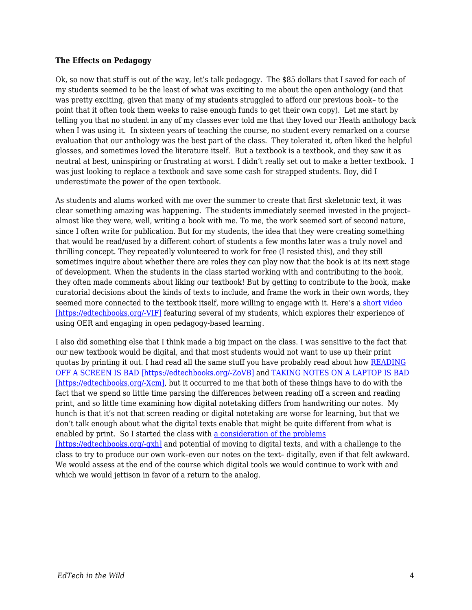#### **The Effects on Pedagogy**

Ok, so now that stuff is out of the way, let's talk pedagogy. The \$85 dollars that I saved for each of my students seemed to be the least of what was exciting to me about the open anthology (and that was pretty exciting, given that many of my students struggled to afford our previous book– to the point that it often took them weeks to raise enough funds to get their own copy). Let me start by telling you that no student in any of my classes ever told me that they loved our Heath anthology back when I was using it. In sixteen years of teaching the course, no student every remarked on a course evaluation that our anthology was the best part of the class. They tolerated it, often liked the helpful glosses, and sometimes loved the literature itself. But a textbook is a textbook, and they saw it as neutral at best, uninspiring or frustrating at worst. I didn't really set out to make a better textbook. I was just looking to replace a textbook and save some cash for strapped students. Boy, did I underestimate the power of the open textbook.

As students and alums worked with me over the summer to create that first skeletonic text, it was clear something amazing was happening. The students immediately seemed invested in the project– almost like they were, well, writing a book with me. To me, the work seemed sort of second nature, since I often write for publication. But for my students, the idea that they were creating something that would be read/used by a different cohort of students a few months later was a truly novel and thrilling concept. They repeatedly volunteered to work for free (I resisted this), and they still sometimes inquire about whether there are roles they can play now that the book is at its next stage of development. When the students in the class started working with and contributing to the book, they often made comments about liking our textbook! But by getting to contribute to the book, make curatorial decisions about the kinds of texts to include, and frame the work in their own words, they seemed more connected to the textbook itself, more willing to engage with it. Here's a [short video](https://www.youtube.com/watch?v=90jgIU6wzmE&feature=youtu.be) [\[https://edtechbooks.org/-VIF\]](https://www.youtube.com/watch?v=90jgIU6wzmE&feature=youtu.be) featuring several of my students, which explores their experience of using OER and engaging in open pedagogy-based learning.

I also did something else that I think made a big impact on the class. I was sensitive to the fact that our new textbook would be digital, and that most students would not want to use up their print quotas by printing it out. I had read all the same stuff you have probably read about how [READING](http://www.medicaldaily.com/e-books-are-damaging-your-health-why-we-should-all-start-reading-paper-books-again-317212) [OFF A SCREEN IS BAD \[https://edtechbooks.org/-ZoVB\]](http://www.medicaldaily.com/e-books-are-damaging-your-health-why-we-should-all-start-reading-paper-books-again-317212) and [TAKING NOTES ON A LAPTOP IS BAD](https://www.washingtonpost.com/news/wonk/wp/2016/05/16/why-smart-kids-shouldnt-use-laptops-in-class/) [\[https://edtechbooks.org/-Xcm\]](https://www.washingtonpost.com/news/wonk/wp/2016/05/16/why-smart-kids-shouldnt-use-laptops-in-class/), but it occurred to me that both of these things have to do with the fact that we spend so little time parsing the differences between reading off a screen and reading print, and so little time examining how digital notetaking differs from handwriting our notes. My hunch is that it's not that screen reading or digital notetaking are worse for learning, but that we don't talk enough about what the digital texts enable that might be quite different from what is enabled by print. So I started the class with [a consideration of the problems](http://www.newyorker.com/science/maria-konnikova/being-a-better-online-reader) [\[https://edtechbooks.org/-gxh\]](http://www.newyorker.com/science/maria-konnikova/being-a-better-online-reader) and potential of moving to digital texts, and with a challenge to the class to try to produce our own work–even our notes on the text– digitally, even if that felt awkward. We would assess at the end of the course which digital tools we would continue to work with and

which we would jettison in favor of a return to the analog.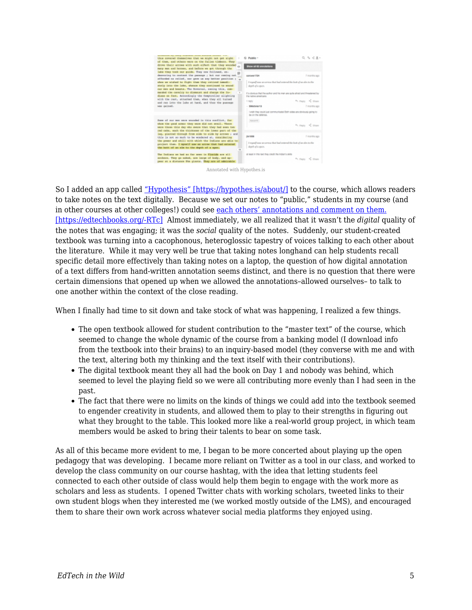| thus covered themselves that we might not got sight                                                                                                                      | C Public -                                                                             | 0, 1, 2, 2                                                                   |
|--------------------------------------------------------------------------------------------------------------------------------------------------------------------------|----------------------------------------------------------------------------------------|------------------------------------------------------------------------------|
| of them, and others were on the fallon timbers. They<br>drows thair arrows with such cifect that they wounded<br>nany non and horses, and bafers we got through the      | Show all 82 annotations                                                                |                                                                              |
| lake they took our guide. They now followed, on-<br>deamoning to contest the passage ; but our coning out.<br>afforded no relief, nor gave us any bether position ;<br>÷ | <b>ABROWN TTSN</b>                                                                     | ? months ago                                                                 |
| when we wished to fight them they retired immedi-<br>stely into the late, whence they costinued to socad<br>our men and beasts. The Covernor, second this, com-          | I regard' was an arrow that had antered the butt of an alm to the<br>depth of a spen.  |                                                                              |
| sanded the cavairy to dissocat and charge the 25-<br>diams on fact, Accordingly the Comptraller alighting                                                                | I'm rative americans                                                                   | If a city/ous that the author and his man are suite afreat and threatened by |
| with the rest, attacked them, when they all turned<br>and ran into the lake at hand, and thes the passage                                                                | 1 mply                                                                                 | 91. Pages 42. Share                                                          |
| was gained.                                                                                                                                                              | - SMotivier13                                                                          | 7 months ago                                                                 |
|                                                                                                                                                                          | be on the delivree.                                                                    | I wish they could just communicated Both sides are obviously going to        |
| Sume of our mon were wounded in this conflict, for                                                                                                                       | <b>Ryangelli</b>                                                                       |                                                                              |
| whom the good armor they were did not avail. Theoe<br>were those this day who swere that they had some two                                                               |                                                                                        | 91. Pages 16, Share                                                          |
| red oaks, each the thickness of the lower part of the<br>leg, pierced through from side to side by arrows ; and<br>this is not so much to be wondered at, considering    | <b>/SY1006</b>                                                                         | ? months ago                                                                 |
| the power and skill with which the Indians are able to<br>project than. I myself saw as arony that had entered<br>the butt of an als to the depth of a span.             | I regard) was an arrow that had antered the butt of an electe the<br>depth of a spers. |                                                                              |
| The Indiana we had no far seen in Florida are all<br>archeon. They go naked, are large of body, and ap-<br>pear at a distance The glasts. They are of admirable          | at least in this ract they creck the indian's skills                                   | 91. Paulo 40 Share                                                           |



So I added an app called ["Hypothesis" \[https://hypothes.is/about/\]](https://hypothes.is/about/) to the course, which allows readers to take notes on the text digitally. Because we set our notes to "public," students in my course (and in other courses at other colleges!) could see [each others' annotations and comment on them.](https://via.hypothes.is/http://openamlit.pressbooks.com/chapter/anno-dom-1642/) [\[https://edtechbooks.org/-RTc\]](https://via.hypothes.is/http://openamlit.pressbooks.com/chapter/anno-dom-1642/) Almost immediately, we all realized that it wasn't the *digital* quality of the notes that was engaging; it was the *social* quality of the notes. Suddenly, our student-created textbook was turning into a cacophonous, heteroglossic tapestry of voices talking to each other about the literature. While it may very well be true that taking notes longhand can help students recall specific detail more effectively than taking notes on a laptop, the question of how digital annotation of a text differs from hand-written annotation seems distinct, and there is no question that there were certain dimensions that opened up when we allowed the annotations–allowed ourselves– to talk to one another within the context of the close reading.

When I finally had time to sit down and take stock of what was happening, I realized a few things.

- The open textbook allowed for student contribution to the "master text" of the course, which seemed to change the whole dynamic of the course from a banking model (I download info from the textbook into their brains) to an inquiry-based model (they converse with me and with the text, altering both my thinking and the text itself with their contributions).
- The digital textbook meant they all had the book on Day 1 and nobody was behind, which seemed to level the playing field so we were all contributing more evenly than I had seen in the past.
- The fact that there were no limits on the kinds of things we could add into the textbook seemed to engender creativity in students, and allowed them to play to their strengths in figuring out what they brought to the table. This looked more like a real-world group project, in which team members would be asked to bring their talents to bear on some task.

As all of this became more evident to me, I began to be more concerted about playing up the open pedagogy that was developing. I became more reliant on Twitter as a tool in our class, and worked to develop the class community on our course hashtag, with the idea that letting students feel connected to each other outside of class would help them begin to engage with the work more as scholars and less as students. I opened Twitter chats with working scholars, tweeted links to their own student blogs when they interested me (we worked mostly outside of the LMS), and encouraged them to share their own work across whatever social media platforms they enjoyed using.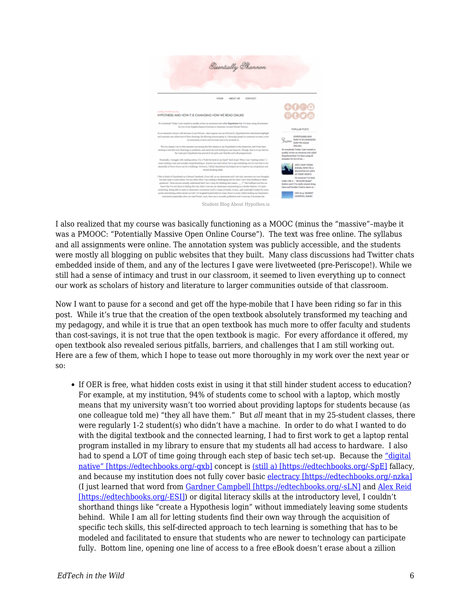

I also realized that my course was basically functioning as a MOOC (minus the "massive"–maybe it was a PMOOC: "Potentially Massive Open Online Course"). The text was free online. The syllabus and all assignments were online. The annotation system was publicly accessible, and the students were mostly all blogging on public websites that they built. Many class discussions had Twitter chats embedded inside of them, and any of the lectures I gave were livetweeted (pre-Periscope!). While we still had a sense of intimacy and trust in our classroom, it seemed to liven everything up to connect our work as scholars of history and literature to larger communities outside of that classroom.

Now I want to pause for a second and get off the hype-mobile that I have been riding so far in this post. While it's true that the creation of the open textbook absolutely transformed my teaching and my pedagogy, and while it is true that an open textbook has much more to offer faculty and students than cost-savings, it is not true that the open textbook is magic. For every affordance it offered, my open textbook also revealed serious pitfalls, barriers, and challenges that I am still working out. Here are a few of them, which I hope to tease out more thoroughly in my work over the next year or so:

If OER is free, what hidden costs exist in using it that still hinder student access to education? For example, at my institution, 94% of students come to school with a laptop, which mostly means that my university wasn't too worried about providing laptops for students because (as one colleague told me) "they all have them." But *all* meant that in my 25-student classes, there were regularly 1-2 student(s) who didn't have a machine. In order to do what I wanted to do with the digital textbook and the connected learning, I had to first work to get a laptop rental program installed in my library to ensure that my students all had access to hardware. I also had to spend a LOT of time going through each step of basic tech set-up. Because the ["digital](http://www.ecdl.org/digitalnativefallacy)" [native" \[https://edtechbooks.org/-qxb\]](http://www.ecdl.org/digitalnativefallacy) concept is [\(still a\) \[https://edtechbooks.org/-SpE\]](http://jolt.merlot.org/vol7no4/koutropoulos_1211.htm) fallacy, and because my institution does not fully cover basic [electracy \[https://edtechbooks.org/-nzka\]](https://en.wikipedia.org/wiki/Electracy) (I just learned that word from [Gardner Campbell \[https://edtechbooks.org/-sLN\]](https://twitter.com/GardnerCampbell/status/732906531990147072) and [Alex Reid](http://alex-reid.net/2016/05/laptops-classrooms-and-matters-of-electrate-concern.html) [\[https://edtechbooks.org/-ESI\]\)](http://alex-reid.net/2016/05/laptops-classrooms-and-matters-of-electrate-concern.html) or digital literacy skills at the introductory level, I couldn't shorthand things like "create a Hypothesis login" without immediately leaving some students behind. While I am all for letting students find their own way through the acquisition of specific tech skills, this self-directed approach to tech learning is something that has to be modeled and facilitated to ensure that students who are newer to technology can participate fully. Bottom line, opening one line of access to a free eBook doesn't erase about a zillion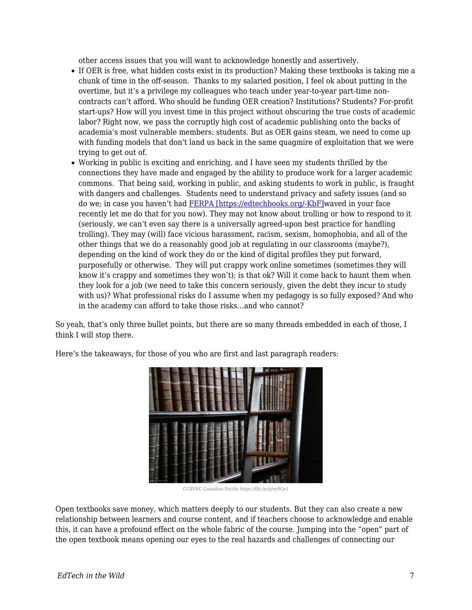other access issues that you will want to acknowledge honestly and assertively.

- If OER is free, what hidden costs exist in its production? Making these textbooks is taking me a chunk of time in the off-season. Thanks to my salaried position, I feel ok about putting in the overtime, but it's a privilege my colleagues who teach under year-to-year part-time noncontracts can't afford. Who should be funding OER creation? Institutions? Students? For-profit start-ups? How will you invest time in this project without obscuring the true costs of academic labor? Right now, we pass the corruptly high cost of academic publishing onto the backs of academia's most vulnerable members: students. But as OER gains steam, we need to come up with funding models that don't land us back in the same quagmire of exploitation that we were trying to get out of.
- Working in public is exciting and enriching, and I have seen my students thrilled by the connections they have made and engaged by the ability to produce work for a larger academic commons. That being said, working in public, and asking students to work in public, is fraught with dangers and challenges. Students need to understand privacy and safety issues (and so do we; in case you haven't had [FERPA \[https://edtechbooks.org/-KbF\]](https://twitter.com/actualham/status/726548553317908480)waved in your face recently let me do that for you now). They may not know about trolling or how to respond to it (seriously, we can't even say there is a universally agreed-upon best practice for handling trolling). They may (will) face vicious harassment, racism, sexism, homophobia, and all of the other things that we do a reasonably good job at regulating in our classrooms (maybe?), depending on the kind of work they do or the kind of digital profiles they put forward, purposefully or otherwise. They will put crappy work online sometimes (sometimes they will know it's crappy and sometimes they won't); is that ok? Will it come back to haunt them when they look for a job (we need to take this concern seriously, given the debt they incur to study with us)? What professional risks do I assume when my pedagogy is so fully exposed? And who in the academy can afford to take those risks…and who cannot?

So yeah, that's only three bullet points, but there are so many threads embedded in each of those, I think I will stop there.

Here's the takeaways, for those of you who are first and last paragraph readers:



CCBYNC Canadian Pacific https://flic.kr/p/ey9Qs1

Open textbooks save money, which matters deeply to our students. But they can also create a new relationship between learners and course content, and if teachers choose to acknowledge and enable this, it can have a profound effect on the whole fabric of the course. Jumping into the "open" part of the open textbook means opening our eyes to the real hazards and challenges of connecting our